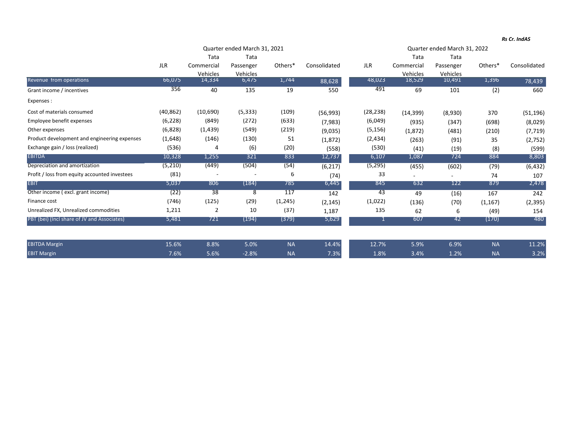|                                               | Quarter ended March 31, 2021 |                    |                   |           |              | Quarter ended March 31, 2022 |                                |                               |           |              |
|-----------------------------------------------|------------------------------|--------------------|-------------------|-----------|--------------|------------------------------|--------------------------------|-------------------------------|-----------|--------------|
|                                               | <b>JLR</b>                   | Tata<br>Commercial | Tata<br>Passenger | Others*   | Consolidated | <b>JLR</b>                   | Tata<br>Commercial<br>Vehicles | Tata<br>Passenger<br>Vehicles | Others*   | Consolidated |
|                                               |                              |                    |                   |           |              |                              |                                |                               |           |              |
|                                               |                              | Vehicles           | Vehicles          |           |              |                              |                                |                               |           |              |
| Revenue trom operations                       | 66,0/5                       | 14,334             | 6,4/5             | 1,744     | 88,628       | 48,023                       | 18,529                         | 10,491                        | 1,396     | 78,439       |
| Grant income / incentives                     | 356                          | 40                 | 135               | 19        | 550          | 491                          | 69                             | 101                           | (2)       | 660          |
| Expenses :                                    |                              |                    |                   |           |              |                              |                                |                               |           |              |
| Cost of materials consumed                    | (40, 862)                    | (10,690)           | (5, 333)          | (109)     | (56, 993)    | (28,238)                     | (14, 399)                      | (8,930)                       | 370       | (51, 196)    |
| Employee benefit expenses                     | (6, 228)                     | (849)              | (272)             | (633)     | (7,983)      | (6,049)                      | (935)                          | (347)                         | (698)     | (8,029)      |
| Other expenses                                | (6,828)                      | (1, 439)           | (549)             | (219)     | (9,035)      | (5, 156)                     | (1, 872)                       | (481)                         | (210)     | (7, 719)     |
| Product development and engineering expenses  | (1,648)                      | (146)              | (130)             | 51        | (1,872)      | (2, 434)                     | (263)                          | (91)                          | 35        | (2,752)      |
| Exchange gain / loss (realized)               | (536)                        | 4                  | (6)               | (20)      | (558)        | (530)                        | (41)                           | (19)                          | (8)       | (599)        |
| <b>EBITDA</b>                                 | 10,328                       | 1,255              | 321               | 833       | 12,737       | 6,107                        | 1,087                          | 724                           | 884       | 8,803        |
| Depreciation and amortization                 | (5, 210)                     | (449)              | (504)             | (54)      | (6, 217)     | (5, 295)                     | (455)                          | (602)                         | (79)      | (6, 432)     |
| Profit / loss from equity accounted investees | (81)                         |                    |                   | 6         | (74)         | 33                           | ٠.                             |                               | 74        | 107          |
| <b>EBIT</b>                                   | 5,037                        | 806                | (184)             | 785       | 6,445        | 845                          | 632                            | 122                           | 879       | 2,478        |
| Other income (excl. grant income)             | (22)                         | $\overline{38}$    | 8                 | 117       | 142          | 43                           | 49                             | (16)                          | 167       | 242          |
| Finance cost                                  | (746)                        | (125)              | (29)              | (1, 245)  | (2, 145)     | (1,022)                      | (136)                          | (70)                          | (1, 167)  | (2, 395)     |
| Unrealized FX, Unrealized commodities         | 1,211                        | 2                  | 10                | (37)      | 1,187        | 135                          | 62                             | 6                             | (49)      | 154          |
| PBT (bei) (Incl share of JV and Associates)   | 5,481                        | 721                | (194)             | (379)     | 5,629        |                              | 607                            | 42                            | (170)     | 480          |
| <b>EBITDA Margin</b>                          | 15.6%                        | 8.8%               | 5.0%              | <b>NA</b> | 14.4%        | 12.7%                        | 5.9%                           | 6.9%                          | <b>NA</b> | 11.2%        |

Margin 7.6% 5.6% ‐2.8% NA 7.3% 1.8% 3.4% 1.2% NA 3.2%

EBIT Margin

*Rs Cr. IndAS*